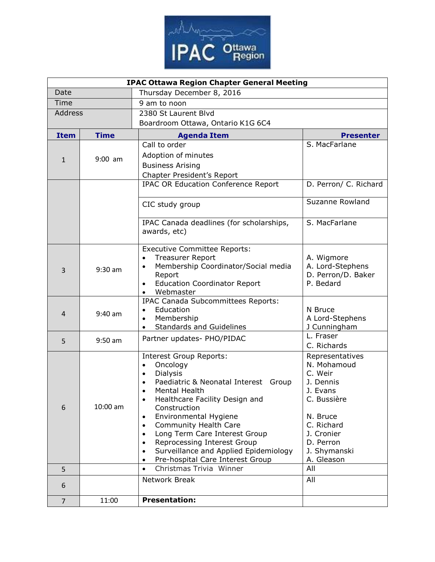

| <b>IPAC Ottawa Region Chapter General Meeting</b> |             |                                                                                                                                                                                                                                                                                                                                                                                                                                                                                                         |                                                                                                                                                                      |  |  |
|---------------------------------------------------|-------------|---------------------------------------------------------------------------------------------------------------------------------------------------------------------------------------------------------------------------------------------------------------------------------------------------------------------------------------------------------------------------------------------------------------------------------------------------------------------------------------------------------|----------------------------------------------------------------------------------------------------------------------------------------------------------------------|--|--|
| Date                                              |             | Thursday December 8, 2016                                                                                                                                                                                                                                                                                                                                                                                                                                                                               |                                                                                                                                                                      |  |  |
| Time                                              |             | 9 am to noon                                                                                                                                                                                                                                                                                                                                                                                                                                                                                            |                                                                                                                                                                      |  |  |
| <b>Address</b>                                    |             | 2380 St Laurent Blvd                                                                                                                                                                                                                                                                                                                                                                                                                                                                                    |                                                                                                                                                                      |  |  |
|                                                   |             | Boardroom Ottawa, Ontario K1G 6C4                                                                                                                                                                                                                                                                                                                                                                                                                                                                       |                                                                                                                                                                      |  |  |
| <b>Item</b>                                       | <b>Time</b> | <b>Agenda Item</b>                                                                                                                                                                                                                                                                                                                                                                                                                                                                                      | <b>Presenter</b>                                                                                                                                                     |  |  |
| $\mathbf{1}$                                      | $9:00$ am   | Call to order<br>Adoption of minutes<br><b>Business Arising</b><br>Chapter President's Report                                                                                                                                                                                                                                                                                                                                                                                                           | S. MacFarlane                                                                                                                                                        |  |  |
|                                                   |             | <b>IPAC OR Education Conference Report</b>                                                                                                                                                                                                                                                                                                                                                                                                                                                              | D. Perron/ C. Richard                                                                                                                                                |  |  |
|                                                   |             | CIC study group                                                                                                                                                                                                                                                                                                                                                                                                                                                                                         | Suzanne Rowland                                                                                                                                                      |  |  |
|                                                   |             | IPAC Canada deadlines (for scholarships,<br>awards, etc)                                                                                                                                                                                                                                                                                                                                                                                                                                                | S. MacFarlane                                                                                                                                                        |  |  |
| 3                                                 | $9:30$ am   | <b>Executive Committee Reports:</b><br><b>Treasurer Report</b><br>$\bullet$<br>Membership Coordinator/Social media<br>$\bullet$<br>Report<br><b>Education Coordinator Report</b><br>$\bullet$<br>Webmaster<br>$\bullet$                                                                                                                                                                                                                                                                                 | A. Wigmore<br>A. Lord-Stephens<br>D. Perron/D. Baker<br>P. Bedard                                                                                                    |  |  |
| 4                                                 | $9:40$ am   | IPAC Canada Subcommittees Reports:<br>Education<br>$\bullet$<br>Membership<br>$\bullet$<br><b>Standards and Guidelines</b><br>$\bullet$                                                                                                                                                                                                                                                                                                                                                                 | N Bruce<br>A Lord-Stephens<br>J Cunningham                                                                                                                           |  |  |
| 5                                                 | $9:50$ am   | Partner updates- PHO/PIDAC                                                                                                                                                                                                                                                                                                                                                                                                                                                                              | L. Fraser<br>C. Richards                                                                                                                                             |  |  |
| 6                                                 | $10:00$ am  | Interest Group Reports:<br>Oncology<br>$\bullet$<br><b>Dialysis</b><br>٠<br>Paediatric & Neonatal Interest Group<br>$\bullet$<br>Mental Health<br>$\bullet$<br>Healthcare Facility Design and<br>$\bullet$<br>Construction<br>Environmental Hygiene<br>$\bullet$<br>Community Health Care<br>$\bullet$<br>Long Term Care Interest Group<br>$\bullet$<br>Reprocessing Interest Group<br>$\bullet$<br>Surveillance and Applied Epidemiology<br>$\bullet$<br>Pre-hospital Care Interest Group<br>$\bullet$ | Representatives<br>N. Mohamoud<br>C. Weir<br>J. Dennis<br>J. Evans<br>C. Bussière<br>N. Bruce<br>C. Richard<br>J. Cronier<br>D. Perron<br>J. Shymanski<br>A. Gleason |  |  |
| 5                                                 |             | Christmas Trivia Winner<br>$\bullet$                                                                                                                                                                                                                                                                                                                                                                                                                                                                    | All                                                                                                                                                                  |  |  |
| 6                                                 |             | Network Break                                                                                                                                                                                                                                                                                                                                                                                                                                                                                           | All                                                                                                                                                                  |  |  |
| $\overline{7}$                                    | 11:00       | <b>Presentation:</b>                                                                                                                                                                                                                                                                                                                                                                                                                                                                                    |                                                                                                                                                                      |  |  |